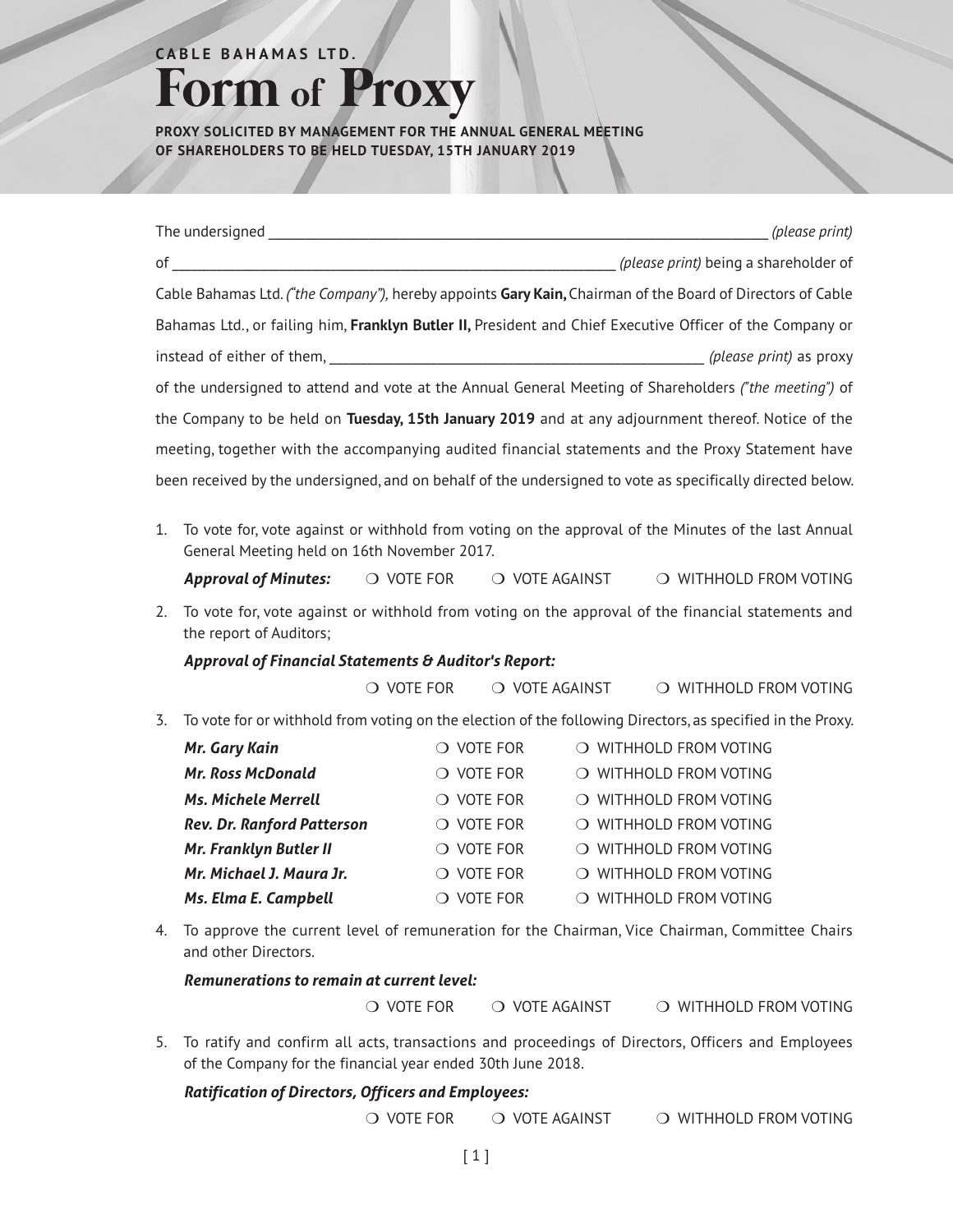## $A$  **BLE BAHAMAS LTD. Form of Proxy**

**PROXY SOLICITED BY MANAGEMENT FOR THE ANNUAL GENERAL MEETING OF SHAREHOLDERS TO BE HELD TUESDAY, 15TH JANUARY 2019**

|                                                                                                                                                          |                                                                                                                              |            |                  |                | (please print)                        |
|----------------------------------------------------------------------------------------------------------------------------------------------------------|------------------------------------------------------------------------------------------------------------------------------|------------|------------------|----------------|---------------------------------------|
|                                                                                                                                                          |                                                                                                                              |            |                  |                | (please print) being a shareholder of |
|                                                                                                                                                          | Cable Bahamas Ltd. ("the Company"), hereby appoints Gary Kain, Chairman of the Board of Directors of Cable                   |            |                  |                |                                       |
|                                                                                                                                                          | Bahamas Ltd., or failing him, Franklyn Butler II, President and Chief Executive Officer of the Company or                    |            |                  |                |                                       |
|                                                                                                                                                          | instead of either of them, the contract of the contract of them, the contract of either of them,                             |            |                  |                |                                       |
|                                                                                                                                                          | of the undersigned to attend and vote at the Annual General Meeting of Shareholders ("the meeting") of                       |            |                  |                |                                       |
|                                                                                                                                                          | the Company to be held on Tuesday, 15th January 2019 and at any adjournment thereof. Notice of the                           |            |                  |                |                                       |
|                                                                                                                                                          |                                                                                                                              |            |                  |                |                                       |
| meeting, together with the accompanying audited financial statements and the Proxy Statement have                                                        |                                                                                                                              |            |                  |                |                                       |
|                                                                                                                                                          | been received by the undersigned, and on behalf of the undersigned to vote as specifically directed below.                   |            |                  |                |                                       |
| To vote for, vote against or withhold from voting on the approval of the Minutes of the last Annual<br>1.<br>General Meeting held on 16th November 2017. |                                                                                                                              |            |                  |                |                                       |
|                                                                                                                                                          | <b>Approval of Minutes:</b>                                                                                                  | O VOTE FOR |                  | O VOTE AGAINST | O WITHHOLD FROM VOTING                |
| 2.                                                                                                                                                       | To vote for, vote against or withhold from voting on the approval of the financial statements and<br>the report of Auditors; |            |                  |                |                                       |
|                                                                                                                                                          | Approval of Financial Statements & Auditor's Report:                                                                         |            |                  |                |                                       |
|                                                                                                                                                          | $\bigcirc$ vote for                                                                                                          |            |                  | O VOTE AGAINST | O WITHHOLD FROM VOTING                |
| 3.                                                                                                                                                       | To vote for or withhold from voting on the election of the following Directors, as specified in the Proxy.                   |            |                  |                |                                       |
|                                                                                                                                                          | Mr. Gary Kain                                                                                                                |            | O VOTE FOR       |                | O WITHHOLD FROM VOTING                |
|                                                                                                                                                          | <b>Mr. Ross McDonald</b>                                                                                                     |            | $\circ$ vote for |                | O WITHHOLD FROM VOTING                |
|                                                                                                                                                          | <b>Ms. Michele Merrell</b>                                                                                                   |            | $\circ$ vote for |                | O WITHHOLD FROM VOTING                |
|                                                                                                                                                          | <b>Rev. Dr. Ranford Patterson</b>                                                                                            |            | O VOTE FOR       |                | O WITHHOLD FROM VOTING                |
|                                                                                                                                                          | Mr. Franklyn Butler II                                                                                                       |            | O VOTE FOR       |                | O WITHHOLD FROM VOTING                |
|                                                                                                                                                          | Mr. Michael J. Maura Jr.                                                                                                     |            | $\circ$ vote for |                | O WITHHOLD FROM VOTING                |
|                                                                                                                                                          | Ms. Elma E. Campbell                                                                                                         |            | O VOTE FOR       |                | O WITHHOLD FROM VOTING                |
| 4.                                                                                                                                                       | To approve the current level of remuneration for the Chairman, Vice Chairman, Committee Chairs<br>and other Directors.       |            |                  |                |                                       |
|                                                                                                                                                          | Remunerations to remain at current level:                                                                                    |            |                  |                |                                       |
|                                                                                                                                                          | $\circlearrowright$ vote for                                                                                                 |            |                  | O VOTE AGAINST | O WITHHOLD FROM VOTING                |

5. To ratify and confirm all acts, transactions and proceedings of Directors, Officers and Employees of the Company for the financial year ended 30th June 2018.

## *Ratification of Directors, Officers and Employees:*

 $\bigcirc$  vote for  $\bigcirc$  vote against  $\bigcirc$  withhold from voting